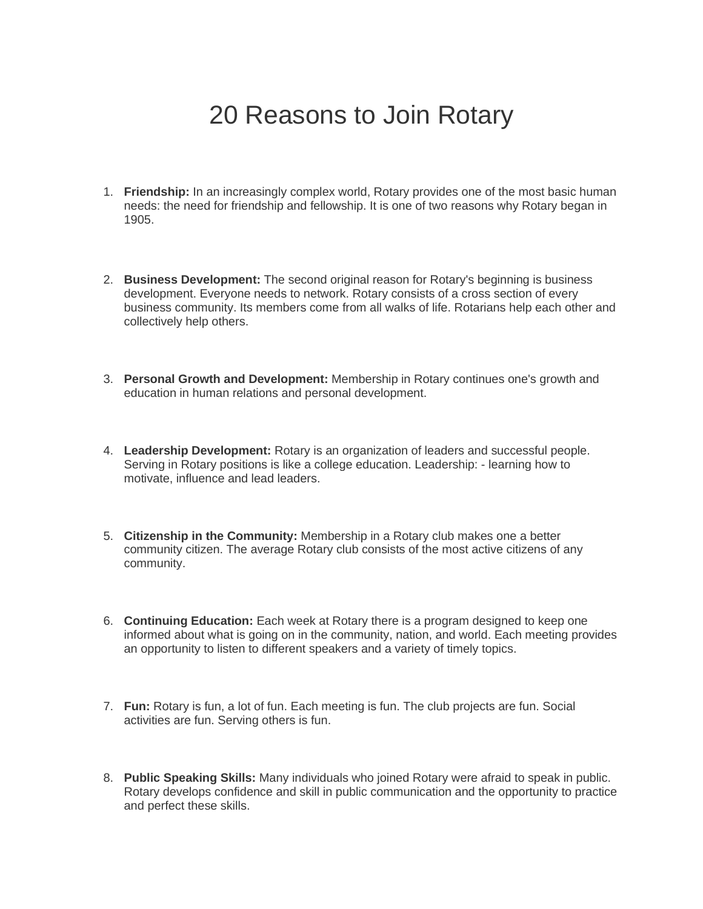## 20 Reasons to Join Rotary

- 1. **Friendship:** In an increasingly complex world, Rotary provides one of the most basic human needs: the need for friendship and fellowship. It is one of two reasons why Rotary began in 1905.
- 2. **Business Development:** The second original reason for Rotary's beginning is business development. Everyone needs to network. Rotary consists of a cross section of every business community. Its members come from all walks of life. Rotarians help each other and collectively help others.
- 3. **Personal Growth and Development:** Membership in Rotary continues one's growth and education in human relations and personal development.
- 4. **Leadership Development:** Rotary is an organization of leaders and successful people. Serving in Rotary positions is like a college education. Leadership: - learning how to motivate, influence and lead leaders.
- 5. **Citizenship in the Community:** Membership in a Rotary club makes one a better community citizen. The average Rotary club consists of the most active citizens of any community.
- 6. **Continuing Education:** Each week at Rotary there is a program designed to keep one informed about what is going on in the community, nation, and world. Each meeting provides an opportunity to listen to different speakers and a variety of timely topics.
- 7. **Fun:** Rotary is fun, a lot of fun. Each meeting is fun. The club projects are fun. Social activities are fun. Serving others is fun.
- 8. **Public Speaking Skills:** Many individuals who joined Rotary were afraid to speak in public. Rotary develops confidence and skill in public communication and the opportunity to practice and perfect these skills.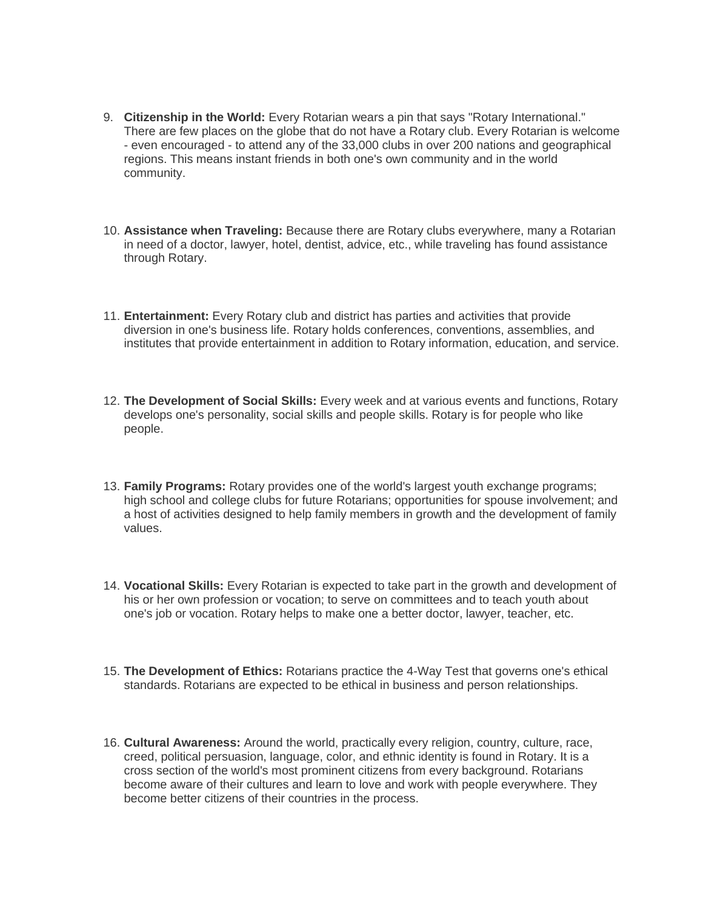- 9. **Citizenship in the World:** Every Rotarian wears a pin that says "Rotary International." There are few places on the globe that do not have a Rotary club. Every Rotarian is welcome - even encouraged - to attend any of the 33,000 clubs in over 200 nations and geographical regions. This means instant friends in both one's own community and in the world community.
- 10. **Assistance when Traveling:** Because there are Rotary clubs everywhere, many a Rotarian in need of a doctor, lawyer, hotel, dentist, advice, etc., while traveling has found assistance through Rotary.
- 11. **Entertainment:** Every Rotary club and district has parties and activities that provide diversion in one's business life. Rotary holds conferences, conventions, assemblies, and institutes that provide entertainment in addition to Rotary information, education, and service.
- 12. **The Development of Social Skills:** Every week and at various events and functions, Rotary develops one's personality, social skills and people skills. Rotary is for people who like people.
- 13. **Family Programs:** Rotary provides one of the world's largest youth exchange programs; high school and college clubs for future Rotarians; opportunities for spouse involvement; and a host of activities designed to help family members in growth and the development of family values.
- 14. **Vocational Skills:** Every Rotarian is expected to take part in the growth and development of his or her own profession or vocation; to serve on committees and to teach youth about one's job or vocation. Rotary helps to make one a better doctor, lawyer, teacher, etc.
- 15. **The Development of Ethics:** Rotarians practice the 4-Way Test that governs one's ethical standards. Rotarians are expected to be ethical in business and person relationships.
- 16. **Cultural Awareness:** Around the world, practically every religion, country, culture, race, creed, political persuasion, language, color, and ethnic identity is found in Rotary. It is a cross section of the world's most prominent citizens from every background. Rotarians become aware of their cultures and learn to love and work with people everywhere. They become better citizens of their countries in the process.